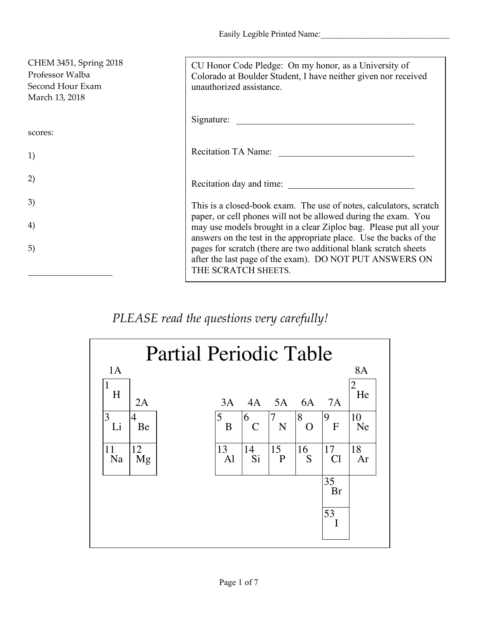Easily Legible Printed Name:

| CHEM 3451, Spring 2018<br>Professor Walba<br>Second Hour Exam<br>March 13, 2018 | CU Honor Code Pledge: On my honor, as a University of<br>Colorado at Boulder Student, I have neither given nor received<br>unauthorized assistance.                                                       |
|---------------------------------------------------------------------------------|-----------------------------------------------------------------------------------------------------------------------------------------------------------------------------------------------------------|
|                                                                                 | Signature:                                                                                                                                                                                                |
| scores:                                                                         |                                                                                                                                                                                                           |
| 1)                                                                              | Recitation TA Name:                                                                                                                                                                                       |
| 2)                                                                              | Recitation day and time:                                                                                                                                                                                  |
| 3)                                                                              | This is a closed-book exam. The use of notes, calculators, scratch                                                                                                                                        |
| 4)                                                                              | paper, or cell phones will not be allowed during the exam. You<br>may use models brought in a clear Ziploc bag. Please put all your<br>answers on the test in the appropriate place. Use the backs of the |
| 5)                                                                              | pages for scratch (there are two additional blank scratch sheets<br>after the last page of the exam). DO NOT PUT ANSWERS ON<br>THE SCRATCH SHEETS.                                                        |

*PLEASE read the questions very carefully!*

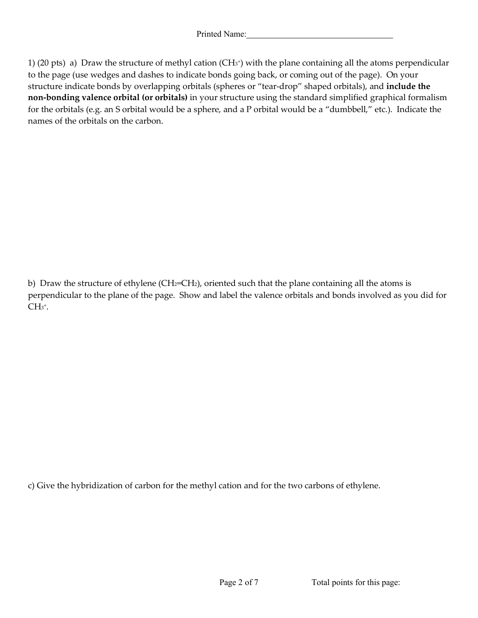1) (20 pts) a) Draw the structure of methyl cation (CH3+) with the plane containing all the atoms perpendicular to the page (use wedges and dashes to indicate bonds going back, or coming out of the page). On your structure indicate bonds by overlapping orbitals (spheres or "tear-drop" shaped orbitals), and **include the non-bonding valence orbital (or orbitals)** in your structure using the standard simplified graphical formalism for the orbitals (e.g. an S orbital would be a sphere, and a P orbital would be a "dumbbell," etc.). Indicate the names of the orbitals on the carbon.

b) Draw the structure of ethylene (CH<sub>2</sub>=CH<sub>2</sub>), oriented such that the plane containing all the atoms is perpendicular to the plane of the page. Show and label the valence orbitals and bonds involved as you did for  $CH<sub>3</sub><sup>+</sup>.$ 

c) Give the hybridization of carbon for the methyl cation and for the two carbons of ethylene.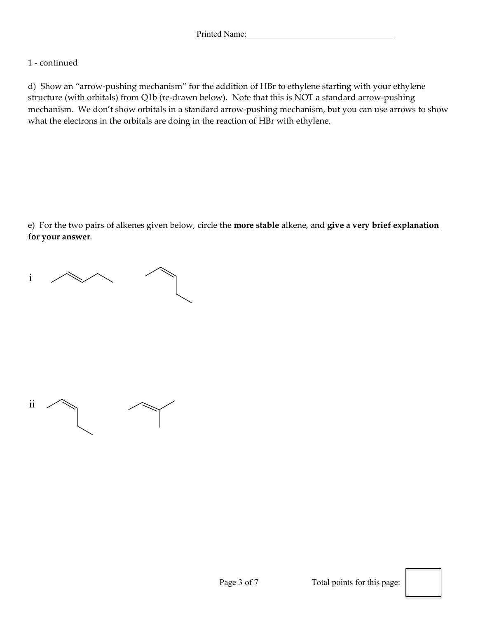## 1 - continued

d) Show an "arrow-pushing mechanism" for the addition of HBr to ethylene starting with your ethylene structure (with orbitals) from Q1b (re-drawn below). Note that this is NOT a standard arrow-pushing mechanism. We don't show orbitals in a standard arrow-pushing mechanism, but you can use arrows to show what the electrons in the orbitals are doing in the reaction of HBr with ethylene.

e) For the two pairs of alkenes given below, circle the **more stable** alkene, and **give a very brief explanation for your answer**.

i

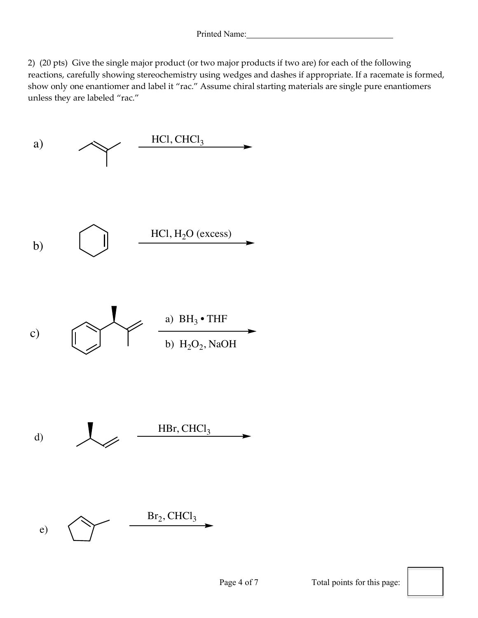2) (20 pts) Give the single major product (or two major products if two are) for each of the following reactions, carefully showing stereochemistry using wedges and dashes if appropriate. If a racemate is formed, show only one enantiomer and label it "rac." Assume chiral starting materials are single pure enantiomers unless they are labeled "rac."

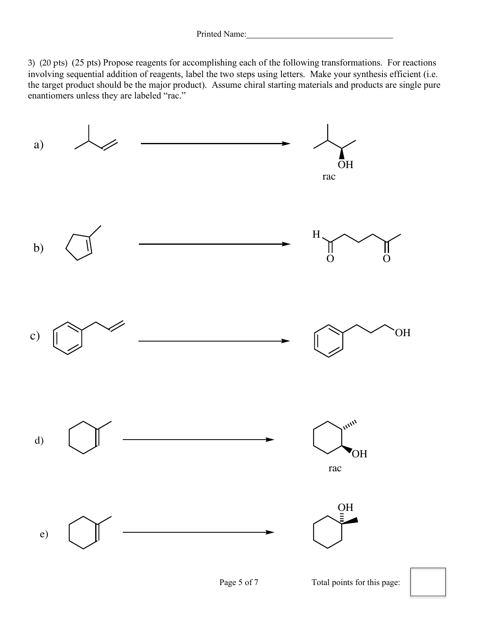3) (20 pts) (25 pts) Propose reagents for accomplishing each of the following transformations. For reactions involving sequential addition of reagents, label the two steps using letters. Make your synthesis efficient (i.e. the target product should be the major product). Assume chiral starting materials and products are single pure enantiomers unless they are labeled "rac."

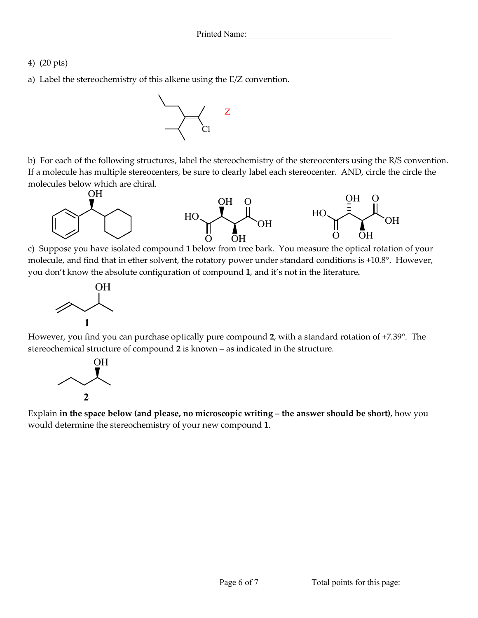- 4) (20 pts)
- a) Label the stereochemistry of this alkene using the E/Z convention.



b) For each of the following structures, label the stereochemistry of the stereocenters using the R/S convention. If a molecule has multiple stereocenters, be sure to clearly label each stereocenter. AND, circle the circle the molecules below which are chiral.



c) Suppose you have isolated compound **1** below from tree bark. You measure the optical rotation of your molecule, and find that in ether solvent, the rotatory power under standard conditions is +10.8°. However, you don't know the absolute configuration of compound **1**, and it's not in the literature**.**



However, you find you can purchase optically pure compound **2**, with a standard rotation of +7.39°. The stereochemical structure of compound **2** is known – as indicated in the structure.



Explain **in the space below (and please, no microscopic writing – the answer should be short)**, how you would determine the stereochemistry of your new compound **1**.